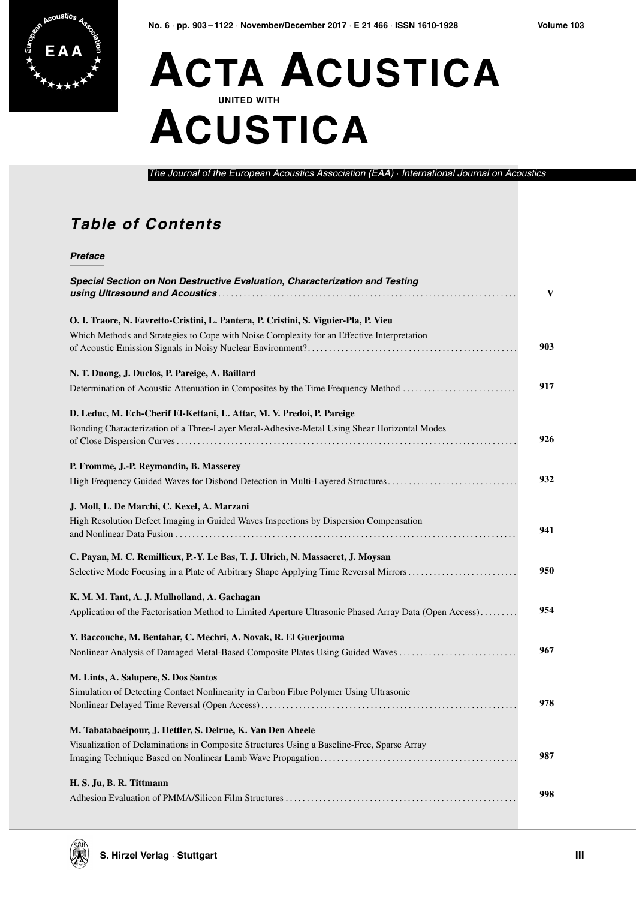

## **ACTA ACUSTICA UNITED WITH ACUSTICA**

The Journal of the European Acoustics Association (EAA) · International Journal on Acoustics

## **Table of Contents**

## **Preface**

| Special Section on Non Destructive Evaluation, Characterization and Testing                                                          | V   |
|--------------------------------------------------------------------------------------------------------------------------------------|-----|
| O. I. Traore, N. Favretto-Cristini, L. Pantera, P. Cristini, S. Viguier-Pla, P. Vieu                                                 |     |
| Which Methods and Strategies to Cope with Noise Complexity for an Effective Interpretation                                           | 903 |
| N. T. Duong, J. Duclos, P. Pareige, A. Baillard                                                                                      |     |
| Determination of Acoustic Attenuation in Composites by the Time Frequency Method                                                     | 917 |
| D. Leduc, M. Ech-Cherif El-Kettani, L. Attar, M. V. Predoi, P. Pareige                                                               |     |
| Bonding Characterization of a Three-Layer Metal-Adhesive-Metal Using Shear Horizontal Modes                                          | 926 |
| P. Fromme, J.-P. Reymondin, B. Masserey                                                                                              |     |
| High Frequency Guided Waves for Disbond Detection in Multi-Layered Structures                                                        | 932 |
| J. Moll, L. De Marchi, C. Kexel, A. Marzani<br>High Resolution Defect Imaging in Guided Waves Inspections by Dispersion Compensation | 941 |
| C. Payan, M. C. Remillieux, P.-Y. Le Bas, T. J. Ulrich, N. Massacret, J. Moysan                                                      |     |
| Selective Mode Focusing in a Plate of Arbitrary Shape Applying Time Reversal Mirrors                                                 | 950 |
| K. M. M. Tant, A. J. Mulholland, A. Gachagan                                                                                         |     |
| Application of the Factorisation Method to Limited Aperture Ultrasonic Phased Array Data (Open Access)                               | 954 |
| Y. Baccouche, M. Bentahar, C. Mechri, A. Novak, R. El Guerjouma                                                                      |     |
| Nonlinear Analysis of Damaged Metal-Based Composite Plates Using Guided Waves                                                        | 967 |
| M. Lints, A. Salupere, S. Dos Santos                                                                                                 |     |
| Simulation of Detecting Contact Nonlinearity in Carbon Fibre Polymer Using Ultrasonic                                                | 978 |
| M. Tabatabaeipour, J. Hettler, S. Delrue, K. Van Den Abeele                                                                          |     |
| Visualization of Delaminations in Composite Structures Using a Baseline-Free, Sparse Array                                           | 987 |
| H. S. Ju, B. R. Tittmann                                                                                                             |     |
|                                                                                                                                      | 998 |